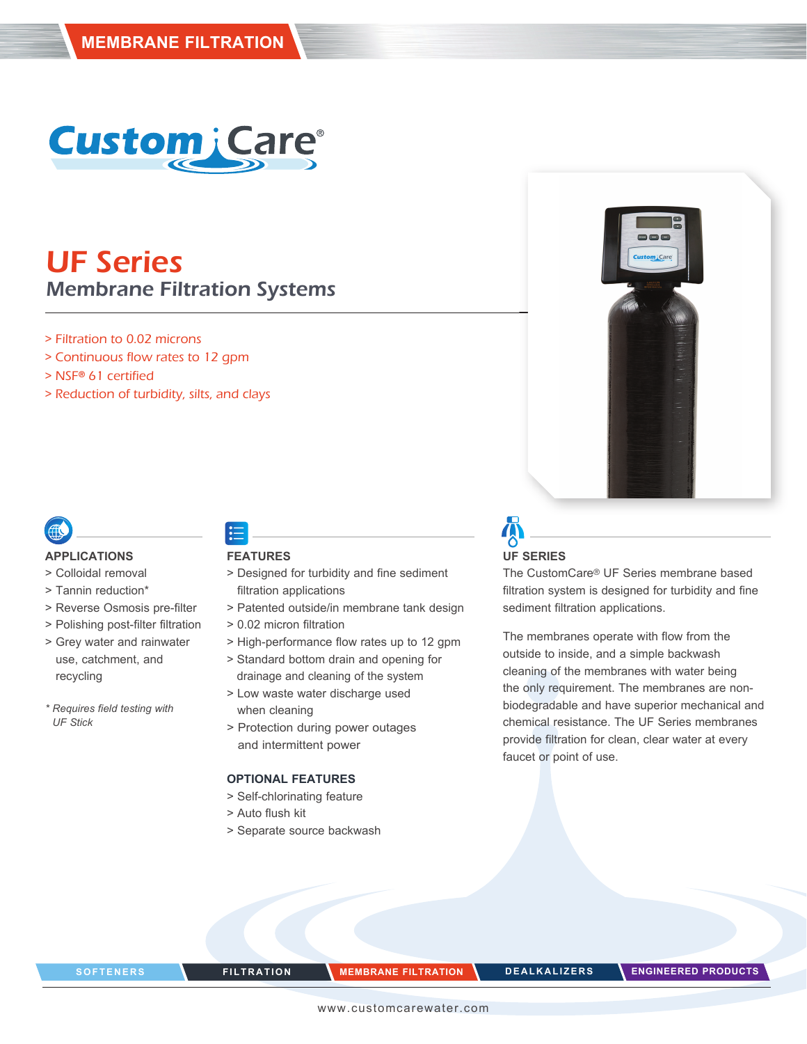

# UF Series Membrane Filtration Systems

- > Filtration to 0.02 microns
- > Continuous flow rates to 12 gpm
- > NSF**®** 61 certified
- > Reduction of turbidity, silts, and clays



#### **APPLICATIONS**

- > Colloidal removal
- > Tannin reduction\*
- > Reverse Osmosis pre-filter
- > Polishing post-filter filtration
- > Grey water and rainwater use, catchment, and recycling
- *\* Requires field testing with UF Stick*

### **FEATURES**

- > Designed for turbidity and fine sediment filtration applications
- > Patented outside/in membrane tank design
- > 0.02 micron filtration
- > High-performance flow rates up to 12 gpm
- > Standard bottom drain and opening for drainage and cleaning of the system
- > Low waste water discharge used when cleaning
- > Protection during power outages and intermittent power

### **OPTIONAL FEATURES**

- > Self-chlorinating feature
- > Auto flush kit
- > Separate source backwash

# **UF SERIES**

The CustomCare® UF Series membrane based filtration system is designed for turbidity and fine sediment filtration applications.

**Custom** i Car

The membranes operate with flow from the outside to inside, and a simple backwash cleaning of the membranes with water being the only requirement. The membranes are nonbiodegradable and have superior mechanical and chemical resistance. The UF Series membranes provide filtration for clean, clear water at every faucet or point of use.